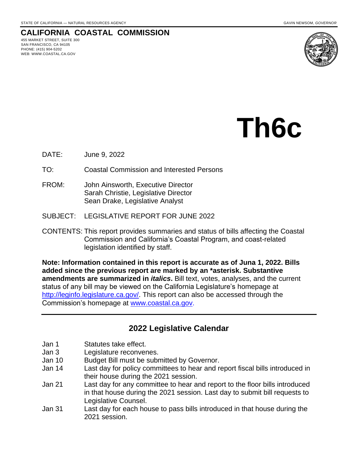# **CALIFORNIA COASTAL COMMISSION**

455 MARKET STREET, SUITE 300 SAN FRANCISCO, CA 94105 PHONE: (415) 904-5202 WEB: WWW.COASTAL.CA.GOV



# **Th6c**

- DATE: June 9, 2022
- TO: Coastal Commission and Interested Persons
- FROM: John Ainsworth, Executive Director Sarah Christie, Legislative Director Sean Drake, Legislative Analyst
- SUBJECT: LEGISLATIVE REPORT FOR JUNE 2022
- CONTENTS: This report provides summaries and status of bills affecting the Coastal Commission and California's Coastal Program, and coast-related legislation identified by staff.

**Note: Information contained in this report is accurate as of Juna 1, 2022. Bills added since the previous report are marked by an \*asterisk. Substantive amendments are summarized in** *italics***.** Bill text, votes, analyses, and the current status of any bill may be viewed on the California Legislature's homepage at [http://leginfo.legislature.ca.gov/.](http://leginfo.legislature.ca.gov/) This report can also be accessed through the Commission's homepage at [www.coastal.ca.gov.](http://www.coastal.ca.gov/)

# **2022 Legislative Calendar**

- Jan 1 Statutes take effect.
- Jan 3 Legislature reconvenes.
- Jan 10 Budget Bill must be submitted by Governor.
- Jan 14 Last day for policy committees to hear and report fiscal bills introduced in their house during the 2021 session.
- Jan 21 Last day for any committee to hear and report to the floor bills introduced in that house during the 2021 session. Last day to submit bill requests to Legislative Counsel.
- Jan 31 Last day for each house to pass bills introduced in that house during the 2021 session.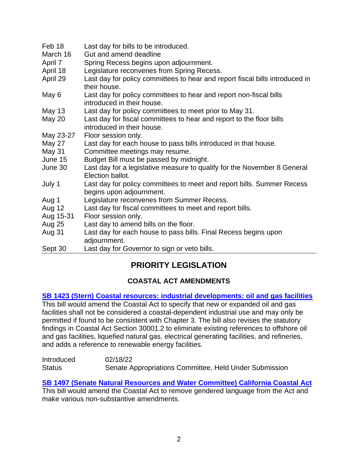| Feb 18        | Last day for bills to be introduced.                                                               |
|---------------|----------------------------------------------------------------------------------------------------|
| March 16      | Gut and amend deadline                                                                             |
| April 7       | Spring Recess begins upon adjournment.                                                             |
| April 18      | Legislature reconvenes from Spring Recess.                                                         |
| April 29      | Last day for policy committees to hear and report fiscal bills introduced in<br>their house.       |
| May 6         | Last day for policy committees to hear and report non-fiscal bills<br>introduced in their house.   |
| May 13        | Last day for policy committees to meet prior to May 31.                                            |
| May 20        | Last day for fiscal committees to hear and report to the floor bills<br>introduced in their house. |
| May 23-27     | Floor session only.                                                                                |
| <b>May 27</b> | Last day for each house to pass bills introduced in that house.                                    |
| May 31        | Committee meetings may resume.                                                                     |
| June 15       | Budget Bill must be passed by midnight.                                                            |
| June 30       | Last day for a legislative measure to qualify for the November 8 General<br>Election ballot.       |
| July 1        | Last day for policy committees to meet and report bills. Summer Recess<br>begins upon adjournment. |
| Aug 1         | Legislature reconvenes from Summer Recess.                                                         |
| Aug 12        | Last day for fiscal committees to meet and report bills.                                           |
| Aug 15-31     | Floor session only.                                                                                |
| <b>Aug 25</b> | Last day to amend bills on the floor.                                                              |
| Aug 31        | Last day for each house to pass bills. Final Recess begins upon<br>adjournment.                    |
| Sept 30       | Last day for Governor to sign or veto bills.                                                       |

# **PRIORITY LEGISLATION**

# **COASTAL ACT AMENDMENTS**

**SB 1423 (Stern) Coastal resources: industrial [developments:](https://leginfo.legislature.ca.gov/faces/billNavClient.xhtml?bill_id=202120220SB1423) oil and gas facilities**

This bill would amend the Coastal Act to specify that new or expanded oil and gas facilities shall not be considered a coastal-dependent industrial use and may only be permitted if found to be consistent with Chapter 3. The bill also revises the statutory findings in Coastal Act Section 30001.2 to eliminate existing references to offshore oil and gas facilities, liquefied natural gas, electrical generating facilities, and refineries, and adds a reference to renewable energy facilities.

| Introduced    | 02/18/22                                               |
|---------------|--------------------------------------------------------|
| <b>Status</b> | Senate Appropriations Committee, Held Under Submission |

**[SB 1497 \(Senate Natural Resources and Water](https://leginfo.legislature.ca.gov/faces/billNavClient.xhtml?bill_id=202120220SB1497) Committee) California Coastal Act**  This bill would amend the Coastal Act to remove gendered language from the Act and make various non-substantive amendments.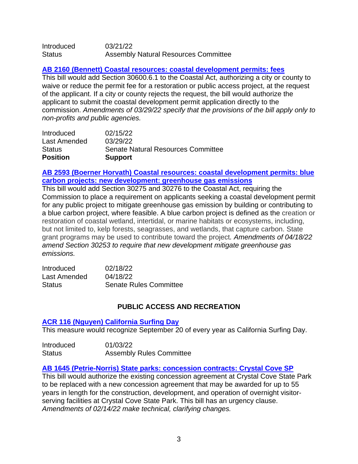| Introduced | 03/21/22                                    |
|------------|---------------------------------------------|
| Status     | <b>Assembly Natural Resources Committee</b> |

#### **[AB 2160 \(Bennett\) Coastal resources: coastal development permits: fees](https://leginfo.legislature.ca.gov/faces/billNavClient.xhtml?bill_id=202120220AB2160)**

This bill would add Section 30600.6.1 to the Coastal Act, authorizing a city or county to waive or reduce the permit fee for a restoration or public access project, at the request of the applicant. If a city or county rejects the request, the bill would authorize the applicant to submit the coastal development permit application directly to the commission. *Amendments of 03/29/22 specify that the provisions of the bill apply only to non-profits and public agencies.*

| <b>Position</b> | <b>Support</b>                     |
|-----------------|------------------------------------|
| <b>Status</b>   | Senate Natural Resources Committee |
| Last Amended    | 03/29/22                           |
| Introduced      | 02/15/22                           |

# **AB 2593 (Boerner Horvath) Coastal resources: coastal [development](https://leginfo.legislature.ca.gov/faces/billNavClient.xhtml?bill_id=202120220AB2593) permits: blue carbon projects: new [development:](https://leginfo.legislature.ca.gov/faces/billNavClient.xhtml?bill_id=202120220AB2593) greenhouse gas emissions**

This bill would add Section 30275 and 30276 to the Coastal Act, requiring the Commission to place a requirement on applicants seeking a coastal development permit for any public project to mitigate greenhouse gas emission by building or contributing to a blue carbon project, where feasible. A blue carbon project is defined as the creation or restoration of coastal wetland, intertidal, or marine habitats or ecosystems, including, but not limited to, kelp forests, seagrasses, and wetlands, that capture carbon. State grant programs may be used to contribute toward the project*. Amendments of 04/18/22 amend Section 30253 to require that new development mitigate greenhouse gas emissions.*

| Introduced    | 02/18/22                      |
|---------------|-------------------------------|
| Last Amended  | 04/18/22                      |
| <b>Status</b> | <b>Senate Rules Committee</b> |

# **PUBLIC ACCESS AND RECREATION**

#### **ACR 116 (Nguyen) [California](https://leginfo.legislature.ca.gov/faces/billNavClient.xhtml?bill_id=202120220ACR116) Surfing Day**

This measure would recognize September 20 of every year as California Surfing Day.

| Introduced    | 01/03/22                        |
|---------------|---------------------------------|
| <b>Status</b> | <b>Assembly Rules Committee</b> |

#### **AB 1645 [\(Petrie-Norris\)](https://leginfo.legislature.ca.gov/faces/billNavClient.xhtml?bill_id=202120220AB1645) State parks: concession contracts: Crystal Cove SP**

This bill would authorize the existing concession agreement at Crystal Cove State Park to be replaced with a new concession agreement that may be awarded for up to 55 years in length for the construction, development, and operation of overnight visitorserving facilities at Crystal Cove State Park. This bill has an urgency clause. *Amendments of 02/14/22 make technical, clarifying changes.*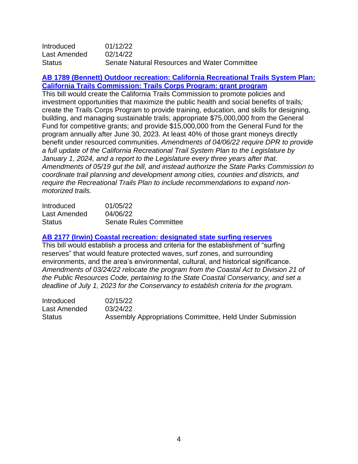| <b>Introduced</b> | 01/12/22                                     |
|-------------------|----------------------------------------------|
| Last Amended      | 02/14/22                                     |
| <b>Status</b>     | Senate Natural Resources and Water Committee |

#### **AB 1789 (Bennett) Outdoor recreation: California [Recreational](https://leginfo.legislature.ca.gov/faces/billNavClient.xhtml?bill_id=202120220AB1789) Trails System Plan: California Trails [Commission:](https://leginfo.legislature.ca.gov/faces/billNavClient.xhtml?bill_id=202120220AB1789) Trails Corps Program: grant program**

This bill would create the California Trails Commission to promote policies and investment opportunities that maximize the public health and social benefits of trails*;* create the Trails Corps Program to provide training, education, and skills for designing, building, and managing sustainable trails; appropriate \$75,000,000 from the General Fund for competitive grants; and provide \$15,000,000 from the General Fund for the program annually after June 30, 2023. At least 40% of those grant moneys directly benefit under resourced communities. *Amendments of 04/06/22 require DPR to provide a full update of the California Recreational Trail System Plan to the Legislature by January 1, 2024, and a report to the Legislature every three years after that. Amendments of 05/19 gut the bill, and instead authorize the State Parks Commission to coordinate trail planning and development among cities, counties and districts, and require the Recreational Trails Plan to include recommendations to expand nonmotorized trails.*

| Introduced    | 01/05/22                      |
|---------------|-------------------------------|
| Last Amended  | 04/06/22                      |
| <b>Status</b> | <b>Senate Rules Committee</b> |

#### **[AB 2177 \(Irwin\) Coastal recreation: designated state surfing reserves](https://leginfo.legislature.ca.gov/faces/billNavClient.xhtml?bill_id=202120220AB2177)**

This bill would establish a process and criteria for the establishment of "surfing reserves" that would feature protected waves, surf zones, and surrounding environments, and the area's environmental, cultural, and historical significance. *Amendments of 03/24/22 relocate the program from the Coastal Act to Division 21 of the Public Resources Code, pertaining to the State Coastal Conservancy, and set a deadline of July 1, 2023 for the Conservancy to establish criteria for the program.*

| <b>Introduced</b> | 02/15/22                                                 |
|-------------------|----------------------------------------------------------|
| Last Amended      | 03/24/22                                                 |
| Status            | Assembly Appropriations Committee, Held Under Submission |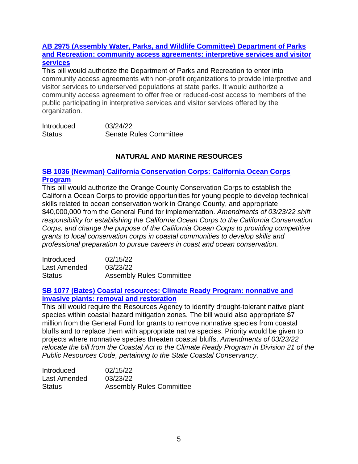# **[AB 2975 \(Assembly Water,](https://leginfo.legislature.ca.gov/faces/billNavClient.xhtml?bill_id=202120220AB2975) Parks, and Wildlife Committee) Department of Parks [and Recreation: community access agreements: interpretive services and visitor](https://leginfo.legislature.ca.gov/faces/billNavClient.xhtml?bill_id=202120220AB2975) [services](https://leginfo.legislature.ca.gov/faces/billNavClient.xhtml?bill_id=202120220AB2975)**

This bill would authorize the Department of Parks and Recreation to enter into community access agreements with non-profit organizations to provide interpretive and visitor services to underserved populations at state parks. It would authorize a community access agreement to offer free or reduced-cost access to members of the public participating in interpretive services and visitor services offered by the organization.

| Introduced    | 03/24/22                      |
|---------------|-------------------------------|
| <b>Status</b> | <b>Senate Rules Committee</b> |

# **NATURAL AND MARINE RESOURCES**

# **SB 1036 (Newman) California [Conservation Corps: California Ocean Corps](https://leginfo.legislature.ca.gov/faces/billNavClient.xhtml?bill_id=202120220SB1036)  [Program](https://leginfo.legislature.ca.gov/faces/billNavClient.xhtml?bill_id=202120220SB1036)**

This bill would authorize the Orange County Conservation Corps to establish the California Ocean Corps to provide opportunities for young people to develop technical skills related to ocean conservation work in Orange County, and appropriate \$40,000,000 from the General Fund for implementation. *Amendments of 03/23/22 shift responsibility for establishing the California Ocean Corps to the California Conservation Corps, and change the purpose of the California Ocean Corps to providing competitive grants to local conservation corps in coastal communities to develop skills and professional preparation to pursue careers in coast and ocean conservation.*

| <b>Introduced</b> | 02/15/22                        |
|-------------------|---------------------------------|
| Last Amended      | 03/23/22                        |
| <b>Status</b>     | <b>Assembly Rules Committee</b> |

#### **[SB 1077 \(Bates\) Coastal resources: Climate Ready Program: nonnative and](https://leginfo.legislature.ca.gov/faces/billNavClient.xhtml?bill_id=202120220SB1077)  invasive plants: [removal and restoration](https://leginfo.legislature.ca.gov/faces/billNavClient.xhtml?bill_id=202120220SB1077)**

This bill would require the Resources Agency to identify drought-tolerant native plant species within coastal hazard mitigation zones. The bill would also appropriate \$7 million from the General Fund for grants to remove nonnative species from coastal bluffs and to replace them with appropriate native species. Priority would be given to projects where nonnative species threaten coastal bluffs. *Amendments of 03/23/22 relocate the bill from the Coastal Act to the Climate Ready Program in Division 21 of the Public Resources Code, pertaining to the State Coastal Conservancy.*

| <b>Introduced</b> | 02/15/22                        |
|-------------------|---------------------------------|
| Last Amended      | 03/23/22                        |
| <b>Status</b>     | <b>Assembly Rules Committee</b> |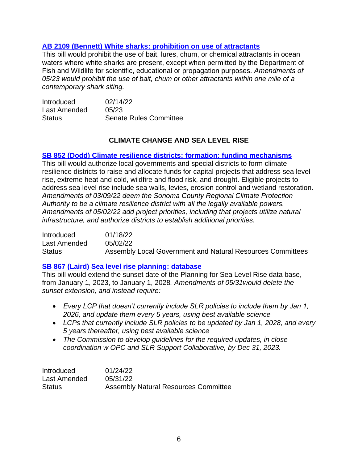# **AB 2109 (Bennett) White sharks: [prohibition](https://leginfo.legislature.ca.gov/faces/billNavClient.xhtml?bill_id=202120220AB2109) on use of attractants**

This bill would prohibit the use of bait, lures, chum, or chemical attractants in ocean waters where white sharks are present, except when permitted by the Department of Fish and Wildlife for scientific, educational or propagation purposes. *Amendments of 05/23 would prohibit the use of bait, chum or other attractants within one mile of a contemporary shark siting.*

| <b>Introduced</b> | 02/14/22                      |
|-------------------|-------------------------------|
| Last Amended      | 05/23                         |
| <b>Status</b>     | <b>Senate Rules Committee</b> |

# **CLIMATE CHANGE AND SEA LEVEL RISE**

#### **SB 852 (Dodd) Climate resilience districts: formation: funding [mechanisms](https://leginfo.legislature.ca.gov/faces/billNavClient.xhtml?bill_id=202120220SB852)**

This bill would authorize local governments and special districts to form climate resilience districts to raise and allocate funds for capital projects that address sea level rise, extreme heat and cold, wildfire and flood risk, and drought. Eligible projects to address sea level rise include sea walls, levies, erosion control and wetland restoration. *Amendments of 03/09/22 deem the Sonoma County Regional Climate Protection Authority to be a climate resilience district with all the legally available powers. Amendments of 05/02/22 add project priorities, including that projects utilize natural infrastructure, and authorize districts to establish additional priorities.*

Introduced 01/18/22 Last Amended 05/02/22 Status Assembly Local Government and Natural Resources Committees

#### **SB 867 (Laird) Sea level rise [planning:](https://leginfo.legislature.ca.gov/faces/billNavClient.xhtml?bill_id=202120220SB867) database**

This bill would extend the sunset date of the Planning for Sea Level Rise data base, from January 1, 2023, to January 1, 2028*. Amendments of 05/31would delete the sunset extension, and instead require:*

- *Every LCP that doesn't currently include SLR policies to include them by Jan 1, 2026, and update them every 5 years, using best available science*
- *LCPs that currently include SLR policies to be updated by Jan 1, 2028, and every 5 years thereafter, using best available science*
- *The Commission to develop guidelines for the required updates, in close coordination w OPC and SLR Support Collaborative, by Dec 31, 2023.*

| <b>Introduced</b> | 01/24/22                                    |
|-------------------|---------------------------------------------|
| Last Amended      | 05/31/22                                    |
| <b>Status</b>     | <b>Assembly Natural Resources Committee</b> |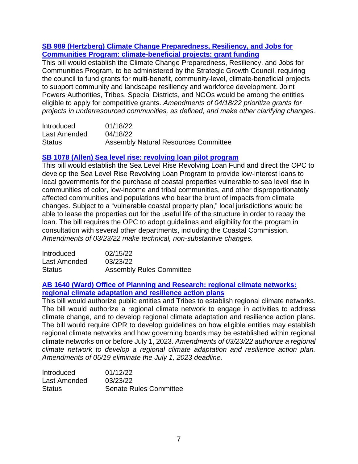# **SB 989 (Hertzberg) Climate [Change Preparedness, Resiliency, and Jobs for](https://leginfo.legislature.ca.gov/faces/billNavClient.xhtml?bill_id=202120220SB989)  [Communities Program: climate-beneficial projects: grant funding](https://leginfo.legislature.ca.gov/faces/billNavClient.xhtml?bill_id=202120220SB989)**

This bill would establish the Climate Change Preparedness, Resiliency, and Jobs for Communities Program, to be administered by the Strategic Growth Council, requiring the council to fund grants for multi-benefit, community-level, climate-beneficial projects to support community and landscape resiliency and workforce development. Joint Powers Authorities, Tribes, Special Districts, and NGOs would be among the entities eligible to apply for competitive grants. *Amendments of 04/18/22 prioritize grants for projects in underresourced communities, as defined, and make other clarifying changes.*

| Introduced    | 01/18/22                                    |
|---------------|---------------------------------------------|
| Last Amended  | 04/18/22                                    |
| <b>Status</b> | <b>Assembly Natural Resources Committee</b> |

#### **SB 1078 (Allen) Sea level rise: [revolving](https://leginfo.legislature.ca.gov/faces/billNavClient.xhtml?bill_id=202120220SB1078) loan pilot program**

This bill would establish the Sea Level Rise Revolving Loan Fund and direct the OPC to develop the Sea Level Rise Revolving Loan Program to provide low-interest loans to local governments for the purchase of coastal properties vulnerable to sea level rise in communities of color, low-income and tribal communities, and other disproportionately affected communities and populations who bear the brunt of impacts from climate changes. Subject to a "vulnerable coastal property plan," local jurisdictions would be able to lease the properties out for the useful life of the structure in order to repay the loan. The bill requires the OPC to adopt guidelines and eligibility for the program in consultation with several other departments, including the Coastal Commission. *Amendments of 03/23/22 make technical, non-substantive changes.*

| Introduced    | 02/15/22                        |
|---------------|---------------------------------|
| Last Amended  | 03/23/22                        |
| <b>Status</b> | <b>Assembly Rules Committee</b> |

# **AB 1640 (Ward) Office of Planning and [Research:](https://leginfo.legislature.ca.gov/faces/billNavClient.xhtml?bill_id=202120220AB1640) regional climate networks: regional climate [adaptation](https://leginfo.legislature.ca.gov/faces/billNavClient.xhtml?bill_id=202120220AB1640) and resilience action plans**

This bill would authorize public entities and Tribes to establish regional climate networks. The bill would authorize a regional climate network to engage in activities to address climate change, and to develop regional climate adaptation and resilience action plans. The bill would require OPR to develop guidelines on how eligible entities may establish regional climate networks and how governing boards may be established within regional climate networks on or before July 1, 2023. *Amendments of 03/23/22 authorize a regional climate network to develop a regional climate adaptation and resilience action plan. Amendments of 05/19 eliminate the July 1, 2023 deadline.*

| Introduced    | 01/12/22                      |
|---------------|-------------------------------|
| Last Amended  | 03/23/22                      |
| <b>Status</b> | <b>Senate Rules Committee</b> |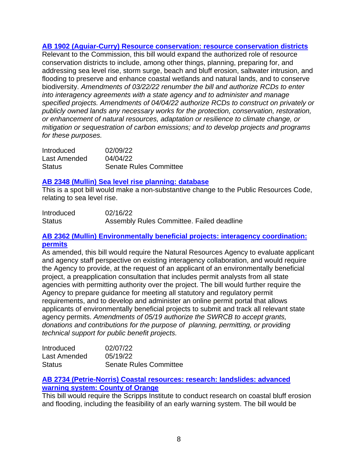# **AB 1902 [\(Aguiar-Curry\)](https://leginfo.legislature.ca.gov/faces/billNavClient.xhtml?bill_id=202120220AB1902) Resource conservation: resource conservation districts**

Relevant to the Commission, this bill would expand the authorized role of resource conservation districts to include, among other things, planning, preparing for, and addressing sea level rise, storm surge, beach and bluff erosion, saltwater intrusion, and flooding to preserve and enhance coastal wetlands and natural lands, and to conserve biodiversity. *Amendments of 03/22/22 renumber the bill and authorize RCDs to enter into interagency agreements with a state agency and to administer and manage specified projects. Amendments of 04/04/22 authorize RCDs to construct on privately or publicly owned lands any necessary works for the protection, conservation, restoration, or enhancement of natural resources, adaptation or resilience to climate change, or mitigation or sequestration of carbon emissions; and to develop projects and programs for these purposes.*

| Introduced    | 02/09/22                      |
|---------------|-------------------------------|
| Last Amended  | 04/04/22                      |
| <b>Status</b> | <b>Senate Rules Committee</b> |

### **AB 2348 (Mullin) Sea level rise [planning:](https://leginfo.legislature.ca.gov/faces/billNavClient.xhtml?bill_id=202120220AB2348) database**

This is a spot bill would make a non-substantive change to the Public Resources Code, relating to sea level rise.

| <b>Introduced</b> | 02/16/22                                  |
|-------------------|-------------------------------------------|
| <b>Status</b>     | Assembly Rules Committee. Failed deadline |

# **AB 2362 (Mullin) [Environmentally](https://leginfo.legislature.ca.gov/faces/billNavClient.xhtml?bill_id=202120220AB2362) beneficial projects: interagency coordination: [permits](https://leginfo.legislature.ca.gov/faces/billNavClient.xhtml?bill_id=202120220AB2362)**

As amended, this bill would require the Natural Resources Agency to evaluate applicant and agency staff perspective on existing interagency collaboration, and would require the Agency to provide, at the request of an applicant of an environmentally beneficial project, a preapplication consultation that includes permit analysts from all state agencies with permitting authority over the project. The bill would further require the Agency to prepare guidance for meeting all statutory and regulatory permit requirements, and to develop and administer an online permit portal that allows applicants of environmentally beneficial projects to submit and track all relevant state agency permits. *Amendments of 05/19 authorize the SWRCB to accept grants, donations and contributions for the purpose of planning, permitting, or providing technical support for public benefit projects.*

| Introduced    | 02/07/22                      |
|---------------|-------------------------------|
| Last Amended  | 05/19/22                      |
| <b>Status</b> | <b>Senate Rules Committee</b> |

# **AB 2734 [\(Petrie-Norris\)](https://leginfo.legislature.ca.gov/faces/billNavClient.xhtml?bill_id=202120220AB2734) Coastal resources: research: landslides: advanced [warning](https://leginfo.legislature.ca.gov/faces/billNavClient.xhtml?bill_id=202120220AB2734) system: County of Orange**

This bill would require the Scripps Institute to conduct research on coastal bluff erosion and flooding, including the feasibility of an early warning system. The bill would be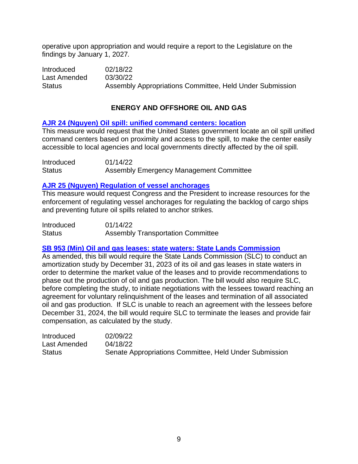operative upon appropriation and would require a report to the Legislature on the findings by January 1, 2027*.*

Introduced 02/18/22 Last Amended 03/30/22 Status **Assembly Appropriations Committee, Held Under Submission** 

# **ENERGY AND OFFSHORE OIL AND GAS**

# **AJR 24 (Nguyen) Oil spill: unified [command](https://leginfo.legislature.ca.gov/faces/billNavClient.xhtml?bill_id=202120220AJR24) centers: location**

This measure would request that the United States government locate an oil spill unified command centers based on proximity and access to the spill, to make the center easily accessible to local agencies and local governments directly affected by the oil spill*.*

| Introduced    | 01/14/22                                |
|---------------|-----------------------------------------|
| <b>Status</b> | Assembly Emergency Management Committee |

#### **AJR 25 (Nguyen) Regulation of vessel [anchorages](https://leginfo.legislature.ca.gov/faces/billNavClient.xhtml?bill_id=202120220AJR25)**

This measure would request Congress and the President to increase resources for the enforcement of regulating vessel anchorages for regulating the backlog of cargo ships and preventing future oil spills related to anchor strikes*.*

| Introduced | 01/14/22                                 |
|------------|------------------------------------------|
| Status     | <b>Assembly Transportation Committee</b> |

# **SB 953 (Min) Oil and gas leases: state waters: State Lands [Commission](https://leginfo.legislature.ca.gov/faces/billNavClient.xhtml?bill_id=202120220SB953)**

As amended, this bill would require the State Lands Commission (SLC) to conduct an amortization study by December 31, 2023 of its oil and gas leases in state waters in order to determine the market value of the leases and to provide recommendations to phase out the production of oil and gas production. The bill would also require SLC, before completing the study, to initiate negotiations with the lessees toward reaching an agreement for voluntary relinquishment of the leases and termination of all associated oil and gas production. If SLC is unable to reach an agreement with the lessees before December 31, 2024, the bill would require SLC to terminate the leases and provide fair compensation, as calculated by the study.

| <b>Introduced</b> | 02/09/22                                               |
|-------------------|--------------------------------------------------------|
| Last Amended      | 04/18/22                                               |
| <b>Status</b>     | Senate Appropriations Committee, Held Under Submission |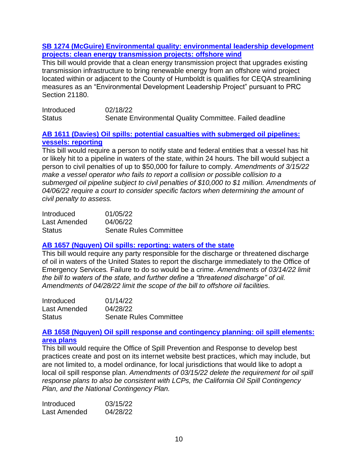#### **SB 1274 (McGuire) [Environmental](https://leginfo.legislature.ca.gov/faces/billNavClient.xhtml?bill_id=202120220SB1274) quality: environmental leadership development projects: clean energy [transmission](https://leginfo.legislature.ca.gov/faces/billNavClient.xhtml?bill_id=202120220SB1274) projects: offshore wind**

This bill would provide that a clean energy transmission project that upgrades existing transmission infrastructure to bring renewable energy from an offshore wind project located within or adjacent to the County of Humboldt is qualifies for CEQA streamlining measures as an "Environmental Development Leadership Project" pursuant to PRC Section 21180.

| Introduced    | 02/18/22                                                |  |
|---------------|---------------------------------------------------------|--|
| <b>Status</b> | Senate Environmental Quality Committee. Failed deadline |  |

# **AB 1611 (Davies) Oil spills: potential casualties with [submerged](https://leginfo.legislature.ca.gov/faces/billNavClient.xhtml?bill_id=202120220AB1611) oil pipelines: vessels: [reporting](https://leginfo.legislature.ca.gov/faces/billNavClient.xhtml?bill_id=202120220AB1611)**

This bill would require a person to notify state and federal entities that a vessel has hit or likely hit to a pipeline in waters of the state, within 24 hours. The bill would subject a person to civil penalties of up to \$50,000 for failure to comply. *Amendments of 3/15/22 make a vessel operator who fails to report a collision or possible collision to a submerged oil pipeline subject to civil penalties of \$10,000 to \$1 million. Amendments of 04/06/22 require a court to consider specific factors when determining the amount of civil penalty to assess.*

| Introduced    | 01/05/22                      |
|---------------|-------------------------------|
| Last Amended  | 04/06/22                      |
| <b>Status</b> | <b>Senate Rules Committee</b> |

# **AB 1657 (Nguyen) Oil spills: [reporting:](https://leginfo.legislature.ca.gov/faces/billNavClient.xhtml?bill_id=202120220AB1657) waters of the state**

This bill would require any party responsible for the discharge or threatened discharge of oil in waters of the United States to report the discharge immediately to the Office of Emergency Services*.* Failure to do so would be a crime. *Amendments of 03/14/22 limit the bill to waters of the state, and further define a "threatened discharge" of oil. Amendments of 04/28/22 limit the scope of the bill to offshore oil facilities.*

| Introduced    | 01/14/22                      |
|---------------|-------------------------------|
| Last Amended  | 04/28/22                      |
| <b>Status</b> | <b>Senate Rules Committee</b> |

# **AB 1658 (Nguyen) Oil spill response and [contingency](https://leginfo.legislature.ca.gov/faces/billNavClient.xhtml?bill_id=202120220AB1658) planning: oil spill elements: area [plans](https://leginfo.legislature.ca.gov/faces/billNavClient.xhtml?bill_id=202120220AB1658)**

This bill would require the Office of Spill Prevention and Response to develop best practices create and post on its internet website best practices, which may include, but are not limited to, a model ordinance, for local jurisdictions that would like to adopt a local oil spill response plan. *Amendments of 03/15/22 delete the requirement for oil spill response plans to also be consistent with LCPs, the California Oil Spill Contingency Plan, and the National Contingency Plan.*

| Introduced   | 03/15/22 |
|--------------|----------|
| Last Amended | 04/28/22 |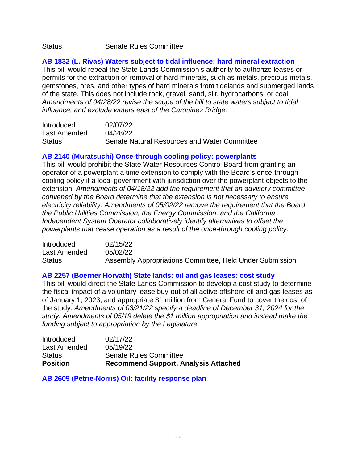#### Status Senate Rules Committee

# **AB 1832 (L. Rivas) Waters subject to tidal influence: hard mineral [extraction](https://leginfo.legislature.ca.gov/faces/billNavClient.xhtml?bill_id=202120220AB1832)**

This bill would repeal the State Lands Commission's authority to authorize leases or permits for the extraction or removal of hard minerals, such as metals, precious metals, gemstones, ores, and other types of hard minerals from tidelands and submerged lands of the state. This does not include rock, gravel, sand, silt, hydrocarbons, or coal. *Amendments of 04/28/22 revise the scope of the bill to state waters subject to tidal influence, and exclude waters east of the Carquinez Bridge.*

| Introduced    | 02/07/22                                     |
|---------------|----------------------------------------------|
| Last Amended  | 04/28/22                                     |
| <b>Status</b> | Senate Natural Resources and Water Committee |

# **[AB 2140 \(Muratsuchi\) Once-through cooling policy: powerplants](https://leginfo.legislature.ca.gov/faces/billTextClient.xhtml?bill_id=202120220AB2140)**

This bill would prohibit the State Water Resources Control Board from granting an operator of a powerplant a time extension to comply with the Board's once-through cooling policy if a local government with jurisdiction over the powerplant objects to the extension. *Amendments of 04/18/22 add the requirement that an advisory committee convened by the Board determine that the extension is not necessary to ensure electricity reliability. Amendments of 05/02/22 remove the requirement that the Board, the Public Utilities Commission, the Energy Commission, and the California Independent System Operator collaboratively identify alternatives to offset the powerplants that cease operation as a result of the once-through cooling policy.*

| Introduced    | 02/15/22                                                 |
|---------------|----------------------------------------------------------|
| Last Amended  | 05/02/22                                                 |
| <b>Status</b> | Assembly Appropriations Committee, Held Under Submission |

#### **AB 2257 [\(Boerner](https://leginfo.legislature.ca.gov/faces/billNavClient.xhtml?bill_id=202120220AB2257) Horvath) State lands: oil and gas leases: cost study**

This bill would direct the State Lands Commission to develop a cost study to determine the fiscal impact of a voluntary lease buy-out of all active offshore oil and gas leases as of January 1, 2023, and appropriate \$1 million from General Fund to cover the cost of the study*. Amendments of 03/21/22 specify a deadline of December 31, 2024 for the study. Amendments of 05/19 delete the \$1 million appropriation and instead make the funding subject to appropriation by the Legislature.*

| <b>Position</b> | <b>Recommend Support, Analysis Attached</b> |
|-----------------|---------------------------------------------|
| <b>Status</b>   | <b>Senate Rules Committee</b>               |
| Last Amended    | 05/19/22                                    |
| Introduced      | 02/17/22                                    |

**AB 2609 [\(Petrie-Norris\)](https://leginfo.legislature.ca.gov/faces/billNavClient.xhtml?bill_id=202120220AB2609) Oil: facility response plan**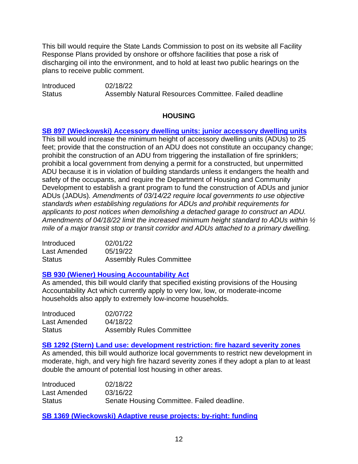This bill would require the State Lands Commission to post on its website all Facility Response Plans provided by onshore or offshore facilities that pose a risk of discharging oil into the environment, and to hold at least two public hearings on the plans to receive public comment.

Introduced 02/18/22 Status **Assembly Natural Resources Committee. Failed deadline** 

# **HOUSING**

**SB 897 [\(Wieckowski\)](https://leginfo.legislature.ca.gov/faces/billNavClient.xhtml?bill_id=202120220SB897) Accessory dwelling units: junior accessory dwelling units** This bill would increase the minimum height of accessory dwelling units (ADUs) to 25 feet; provide that the construction of an ADU does not constitute an occupancy change; prohibit the construction of an ADU from triggering the installation of fire sprinklers; prohibit a local government from denying a permit for a constructed, but unpermitted ADU because it is in violation of building standards unless it endangers the health and safety of the occupants, and require the Department of Housing and Community Development to establish a grant program to fund the construction of ADUs and junior ADUs (JADUs)*. Amendments of 03/14/22 require local governments to use objective standards when establishing regulations for ADUs and prohibit requirements for applicants to post notices when demolishing a detached garage to construct an ADU. Amendments of 04/18/22 limit the increased minimum height standard to ADUs within ½ mile of a major transit stop or transit corridor and ADUs attached to a primary dwelling.*

| Introduced    | 02/01/22                        |
|---------------|---------------------------------|
| Last Amended  | 05/19/22                        |
| <b>Status</b> | <b>Assembly Rules Committee</b> |

# **SB 930 (Wiener) Housing [Accountability](https://leginfo.legislature.ca.gov/faces/billNavClient.xhtml?bill_id=202120220SB930) Act**

As amended, this bill would clarify that specified existing provisions of the Housing Accountability Act which currently apply to very low, low, or moderate-income households also apply to extremely low-income households.

| Introduced    | 02/07/22                        |
|---------------|---------------------------------|
| Last Amended  | 04/18/22                        |
| <b>Status</b> | <b>Assembly Rules Committee</b> |

# **SB 1292 (Stern) Land use: [development](https://leginfo.legislature.ca.gov/faces/billNavClient.xhtml?bill_id=202120220SB1292) restriction: fire hazard severity zones**

As amended, this bill would authorize local governments to restrict new development in moderate, high, and very high fire hazard severity zones if they adopt a plan to at least double the amount of potential lost housing in other areas.

| <b>Introduced</b> | 02/18/22                                   |
|-------------------|--------------------------------------------|
| Last Amended      | 03/16/22                                   |
| <b>Status</b>     | Senate Housing Committee. Failed deadline. |

**SB 1369 [\(Wieckowski\)](https://leginfo.legislature.ca.gov/faces/billNavClient.xhtml?bill_id=202120220SB1369) Adaptive reuse projects: by-right: funding**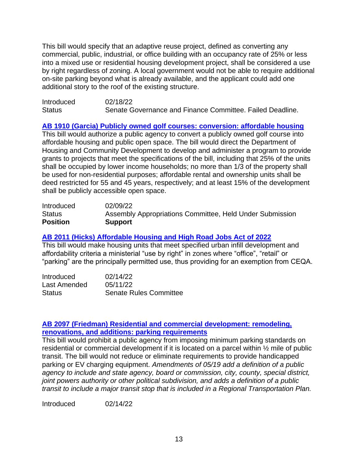This bill would specify that an adaptive reuse project, defined as converting any commercial, public, industrial, or office building with an occupancy rate of 25% or less into a mixed use or residential housing development project, shall be considered a use by right regardless of zoning. A local government would not be able to require additional on-site parking beyond what is already available, and the applicant could add one additional story to the roof of the existing structure.

| Introduced    | 02/18/22                                                  |  |
|---------------|-----------------------------------------------------------|--|
| <b>Status</b> | Senate Governance and Finance Committee. Failed Deadline. |  |

# **AB 1910 (Garcia) Publicly owned golf courses: [conversion:](https://leginfo.legislature.ca.gov/faces/billNavClient.xhtml?bill_id=202120220AB1910) affordable housing**

This bill would authorize a public agency to convert a publicly owned golf course into affordable housing and public open space. The bill would direct the Department of Housing and Community Development to develop and administer a program to provide grants to projects that meet the specifications of the bill, including that 25% of the units shall be occupied by lower income households; no more than 1/3 of the property shall be used for non-residential purposes; affordable rental and ownership units shall be deed restricted for 55 and 45 years, respectively; and at least 15% of the development shall be publicly accessible open space.

| Introduced      | 02/09/22                                                 |
|-----------------|----------------------------------------------------------|
| <b>Status</b>   | Assembly Appropriations Committee, Held Under Submission |
| <b>Position</b> | <b>Support</b>                                           |

# **AB 2011 (Hicks) [Affordable](https://leginfo.legislature.ca.gov/faces/billNavClient.xhtml?bill_id=202120220AB2011) Housing and High Road Jobs Act of 2022**

This bill would make housing units that meet specified urban infill development and affordability criteria a ministerial "use by right" in zones where "office", "retail" or "parking" are the principally permitted use, thus providing for an exemption from CEQA.

| Introduced    | 02/14/22                      |
|---------------|-------------------------------|
| Last Amended  | 05/11/22                      |
| <b>Status</b> | <b>Senate Rules Committee</b> |

# **AB 2097 (Friedman) Residential and commercial [development:](https://leginfo.legislature.ca.gov/faces/billNavClient.xhtml?bill_id=202120220AB2097) remodeling, renovations, and additions: parking [requirements](https://leginfo.legislature.ca.gov/faces/billNavClient.xhtml?bill_id=202120220AB2097)**

This bill would prohibit a public agency from imposing minimum parking standards on residential or commercial development if it is located on a parcel within ½ mile of public transit. The bill would not reduce or eliminate requirements to provide handicapped parking or EV charging equipment. *Amendments of 05/19 add a definition of a public agency to include and state agency, board or commission, city, county, special district, joint powers authority or other political subdivision, and adds a definition of a public transit to include a major transit stop that is included in a Regional Transportation Plan.* 

Introduced 02/14/22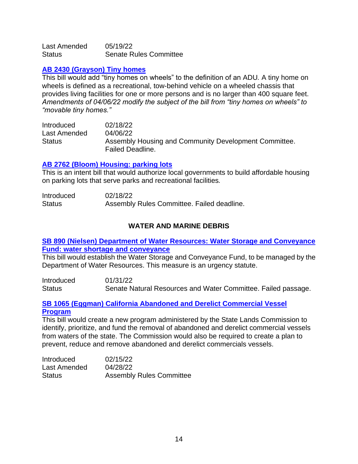Last Amended 05/19/22 Status Senate Rules Committee

#### **AB [2430 \(Grayson\) Tiny homes](https://leginfo.legislature.ca.gov/faces/billNavClient.xhtml?bill_id=202120220AB2430)**

This bill would add "tiny homes on wheels" to the definition of an ADU*.* A tiny home on wheels is defined as a recreational, tow-behind vehicle on a wheeled chassis that provides living facilities for one or more persons and is no larger than 400 square feet. *Amendments of 04/06/22 modify the subject of the bill from "tiny homes on wheels" to "movable tiny homes."*

Introduced 02/18/22 Last Amended 04/06/22 Status **Assembly Housing and Community Development Committee.** Failed Deadline.

#### **AB 2762 (Bloom) [Housing:](https://leginfo.legislature.ca.gov/faces/billNavClient.xhtml?bill_id=202120220AB2762) parking lots**

This is an intent bill that would authorize local governments to build affordable housing on parking lots that serve parks and recreational facilities*.*

| Introduced    | 02/18/22                                   |  |
|---------------|--------------------------------------------|--|
| <b>Status</b> | Assembly Rules Committee. Failed deadline. |  |

# **WATER AND MARINE DEBRIS**

# **SB 890 (Nielsen) Department of Water Resources: Water Storage and [Conveyance](https://leginfo.legislature.ca.gov/faces/billTextClient.xhtml?bill_id=202120220SB890) Fund: water shortage and [conveyance](https://leginfo.legislature.ca.gov/faces/billTextClient.xhtml?bill_id=202120220SB890)**

This bill would establish the Water Storage and Conveyance Fund, to be managed by the Department of Water Resources. This measure is an urgency statute.

Introduced 01/31/22 Status Senate Natural Resources and Water Committee. Failed passage.

#### **SB 1065 (Eggman) California Abandoned and Derelict [Commercial](https://leginfo.legislature.ca.gov/faces/billNavClient.xhtml?bill_id=202120220SB1065) Vessel [Program](https://leginfo.legislature.ca.gov/faces/billNavClient.xhtml?bill_id=202120220SB1065)**

This bill would create a new program administered by the State Lands Commission to identify, prioritize, and fund the removal of abandoned and derelict commercial vessels from waters of the state. The Commission would also be required to create a plan to prevent, reduce and remove abandoned and derelict commercials vessels.

| Introduced    | 02/15/22                        |
|---------------|---------------------------------|
| Last Amended  | 04/28/22                        |
| <b>Status</b> | <b>Assembly Rules Committee</b> |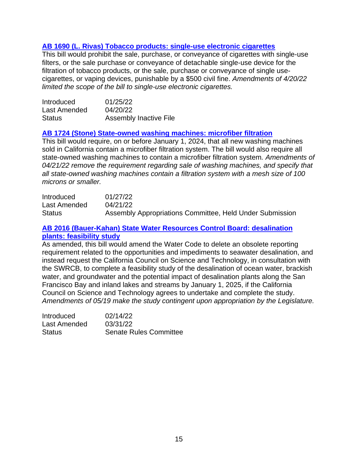# **AB 1690 (L. [Rivas\) Tobacco products: single-use electronic cigarettes](https://leginfo.legislature.ca.gov/faces/billNavClient.xhtml?bill_id=202120220AB1690)**

This bill would prohibit the sale, purchase, or conveyance of cigarettes with single-use filters, or the sale purchase or conveyance of detachable single-use device for the filtration of tobacco products, or the sale, purchase or conveyance of single usecigarettes, or vaping devices, punishable by a \$500 civil fine. *Amendments of 4/20/22 limited the scope of the bill to single-use electronic cigarettes.*

| <b>Introduced</b> | 01/25/22                      |
|-------------------|-------------------------------|
| Last Amended      | 04/20/22                      |
| <b>Status</b>     | <b>Assembly Inactive File</b> |

#### **AB 1724 (Stone) [State-owned](https://leginfo.legislature.ca.gov/faces/billNavClient.xhtml?bill_id=202120220AB1724) washing machines: microfiber filtration**

This bill would require, on or before January 1, 2024, that all new washing machines sold in California contain a microfiber filtration system. The bill would also require all state-owned washing machines to contain a microfiber filtration system*. Amendments of 04/21/22 remove the requirement regarding sale of washing machines, and specify that all state-owned washing machines contain a filtration system with a mesh size of 100 microns or smaller.*

| Introduced    | 01/27/22                                                 |
|---------------|----------------------------------------------------------|
| Last Amended  | 04/21/22                                                 |
| <b>Status</b> | Assembly Appropriations Committee, Held Under Submission |

#### **AB 2016 [\(Bauer-Kahan\)](https://leginfo.legislature.ca.gov/faces/billNavClient.xhtml?bill_id=202120220AB2016) State Water Resources Control Board: desalination plants: [feasibility](https://leginfo.legislature.ca.gov/faces/billNavClient.xhtml?bill_id=202120220AB2016) study**

As amended, this bill would amend the Water Code to delete an obsolete reporting requirement related to the opportunities and impediments to seawater desalination, and instead request the California Council on Science and Technology, in consultation with the SWRCB, to complete a feasibility study of the desalination of ocean water, brackish water, and groundwater and the potential impact of desalination plants along the San Francisco Bay and inland lakes and streams by January 1, 2025, if the California Council on Science and Technology agrees to undertake and complete the study. *Amendments of 05/19 make the study contingent upon appropriation by the Legislature.*

| <b>Introduced</b> | 02/14/22                      |
|-------------------|-------------------------------|
| Last Amended      | 03/31/22                      |
| <b>Status</b>     | <b>Senate Rules Committee</b> |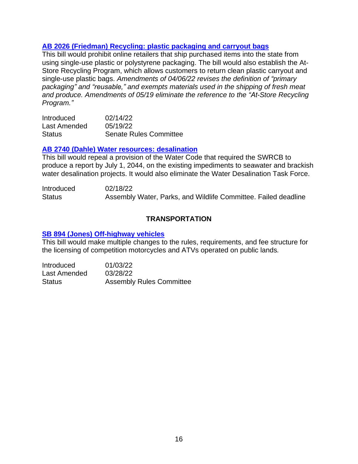# **AB 2026 [\(Friedman\)](https://leginfo.legislature.ca.gov/faces/billNavClient.xhtml?bill_id=202120220AB2026) Recycling: plastic packaging and carryout bag[s](https://leginfo.legislature.ca.gov/faces/billNavClient.xhtml?bill_id=202120220AB2026)**

This bill would prohibit online retailers that ship purchased items into the state from using single-use plastic or polystyrene packaging. The bill would also establish the At-Store Recycling Program, which allows customers to return clean plastic carryout and single-use plastic bags. *Amendments of 04/06/22 revises the definition of "primary packaging" and "reusable," and exempts materials used in the shipping of fresh meat and produce. Amendments of 05/19 eliminate the reference to the "At-Store Recycling Program."*

| <b>Introduced</b> | 02/14/22                      |
|-------------------|-------------------------------|
| Last Amended      | 05/19/22                      |
| <b>Status</b>     | <b>Senate Rules Committee</b> |

#### **AB 2740 (Dahle) Water resources: [desalination](https://leginfo.legislature.ca.gov/faces/billNavClient.xhtml?bill_id=202120220AB2740)**

This bill would repeal a provision of the Water Code that required the SWRCB to produce a report by July 1, 2044, on the existing impediments to seawater and brackish water desalination projects. It would also eliminate the Water Desalination Task Force.

Introduced 02/18/22 Status **Assembly Water, Parks, and Wildlife Committee. Failed deadline** 

# **TRANSPORTATION**

#### **SB 894 (Jones) [Off-highway](https://leginfo.legislature.ca.gov/faces/billNavClient.xhtml?bill_id=202120220SB894) vehicles**

This bill would make multiple changes to the rules, requirements, and fee structure for the licensing of competition motorcycles and ATVs operated on public lands*.*

Introduced 01/03/22 Last Amended 03/28/22 Status Assembly Rules Committee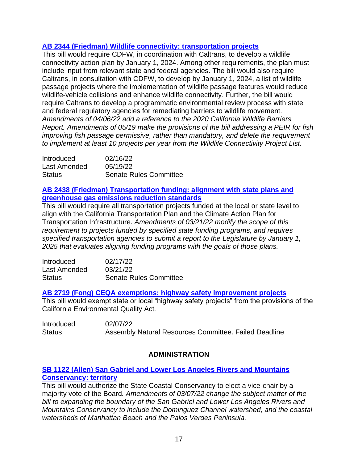# **AB 2344 (Friedman) Wildlife connectivity: [transportation](https://leginfo.legislature.ca.gov/faces/billNavClient.xhtml?bill_id=202120220AB2344) projects**

This bill would require CDFW, in coordination with Caltrans, to develop a wildlife connectivity action plan by January 1, 2024. Among other requirements, the plan must include input from relevant state and federal agencies. The bill would also require Caltrans, in consultation with CDFW, to develop by January 1, 2024, a list of wildlife passage projects where the implementation of wildlife passage features would reduce wildlife-vehicle collisions and enhance wildlife connectivity. Further, the bill would require Caltrans to develop a programmatic environmental review process with state and federal regulatory agencies for remediating barriers to wildlife movement. *Amendments of 04/06/22 add a reference to the 2020 California Wildlife Barriers Report. Amendments of 05/19 make the provisions of the bill addressing a PEIR for fish improving fish passage permissive, rather than mandatory, and delete the requirement to implement at least 10 projects per year from the Wildlife Connectivity Project List.*

| Introduced    | 02/16/22                      |
|---------------|-------------------------------|
| Last Amended  | 05/19/22                      |
| <b>Status</b> | <b>Senate Rules Committee</b> |

# **AB 2438 (Friedman) [Transportation](https://leginfo.legislature.ca.gov/faces/billNavClient.xhtml?bill_id=202120220AB2438) funding: alignment with state plans and [greenhouse](https://leginfo.legislature.ca.gov/faces/billNavClient.xhtml?bill_id=202120220AB2438) gas emissions reduction standards**

This bill would require all transportation projects funded at the local or state level to align with the California Transportation Plan and the Climate Action Plan for Transportation Infrastructure. *Amendments of 03/21/22 modify the scope of this requirement to projects funded by specified state funding programs, and requires specified transportation agencies to submit a report to the Legislature by January 1, 2025 that evaluates aligning funding programs with the goals of those plans.* 

| <b>Introduced</b> | 02/17/22                      |
|-------------------|-------------------------------|
| Last Amended      | 03/21/22                      |
| <b>Status</b>     | <b>Senate Rules Committee</b> |

# **AB 2719 (Fong) CEQA exemptions: highway safety [improvement](https://leginfo.legislature.ca.gov/faces/billNavClient.xhtml?bill_id=202120220AB2719) projects**

This bill would exempt state or local "highway safety projects" from the provisions of the California Environmental Quality Act*.*

| <b>Introduced</b> | 02/07/22                                              |
|-------------------|-------------------------------------------------------|
| <b>Status</b>     | Assembly Natural Resources Committee. Failed Deadline |

# **ADMINISTRATION**

# **SB 1122 (Allen) San Gabriel and Lower Los Angeles Rivers and [Mountains](https://leginfo.legislature.ca.gov/faces/billNavClient.xhtml?bill_id=202120220SB1122) [Conservancy:](https://leginfo.legislature.ca.gov/faces/billNavClient.xhtml?bill_id=202120220SB1122) territory**

This bill would authorize the State Coastal Conservancy to elect a vice-chair by a majority vote of the Board*. Amendments of 03/07/22 change the subject matter of the bill to expanding the boundary of the San Gabriel and Lower Los Angeles Rivers and Mountains Conservancy to include the Dominguez Channel watershed, and the coastal watersheds of Manhattan Beach and the Palos Verdes Peninsula.*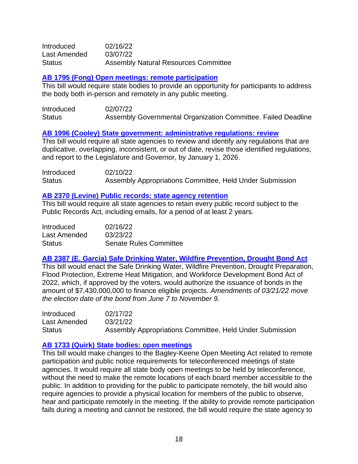| Introduced    | 02/16/22                                    |
|---------------|---------------------------------------------|
| Last Amended  | 03/07/22                                    |
| <b>Status</b> | <b>Assembly Natural Resources Committee</b> |

#### **[AB 1795 \(Fong\) Open meetings: remote participation](https://leginfo.legislature.ca.gov/faces/billNavClient.xhtml?bill_id=202120220AB1795)**

This bill would require state bodies to provide an opportunity for participants to address the body both in-person and remotely in any public meeting.

| Introduced    | 02/07/22                                                      |
|---------------|---------------------------------------------------------------|
| <b>Status</b> | Assembly Governmental Organization Committee. Failed Deadline |

#### **AB 1996 (Cooley) State government: [administrative](https://leginfo.legislature.ca.gov/faces/billNavClient.xhtml?bill_id=202120220AB1996) regulations: review**

This bill would require all state agencies to review and identify any regulations that are duplicative, overlapping, inconsistent, or out of date, revise those identified regulations, and report to the Legislature and Governor, by January 1, 2026.

| <b>Introduced</b> | 02/10/22                                                 |
|-------------------|----------------------------------------------------------|
| <b>Status</b>     | Assembly Appropriations Committee, Held Under Submission |

#### **AB 2370 (Levine) Public records: state agency [retention](https://leginfo.legislature.ca.gov/faces/billNavClient.xhtml?bill_id=202120220AB2370)**

This bill would require all state agencies to retain every public record subject to the Public Records Act, including emails, for a period of at least 2 years*.*

| Introduced    | 02/16/22                      |
|---------------|-------------------------------|
| Last Amended  | 03/23/22                      |
| <b>Status</b> | <b>Senate Rules Committee</b> |

# **AB 2387 (E. Garcia) Safe Drinking Water, Wildfire [Prevention,](https://leginfo.legislature.ca.gov/faces/billNavClient.xhtml?bill_id=202120220AB2387) Drought Bond Act**

This bill would enact the Safe Drinking Water, Wildfire Prevention, Drought Preparation, Flood Protection, Extreme Heat Mitigation, and Workforce Development Bond Act of 2022, which, if approved by the voters, would authorize the issuance of bonds in the amount of \$7,430,000,000 to finance eligible projects*. Amendments of 03/21/22 move the election date of the bond from June 7 to November 9.*

| <b>Introduced</b> | 02/17/22                                                 |
|-------------------|----------------------------------------------------------|
| Last Amended      | 03/21/22                                                 |
| <b>Status</b>     | Assembly Appropriations Committee, Held Under Submission |

#### **AB 1733 (Quirk) State bodies: open [meetings](https://leginfo.legislature.ca.gov/faces/billNavClient.xhtml?bill_id=202120220AB1733)**

This bill would make changes to the Bagley-Keene Open Meeting Act related to remote participation and public notice requirements for teleconferenced meetings of state agencies. It would require all state body open meetings to be held by teleconference, without the need to make the remote locations of each board member accessible to the public. In addition to providing for the public to participate remotely, the bill would also require agencies to provide a physical location for members of the public to observe, hear and participate remotely in the meeting. If the ability to provide remote participation fails during a meeting and cannot be restored, the bill would require the state agency to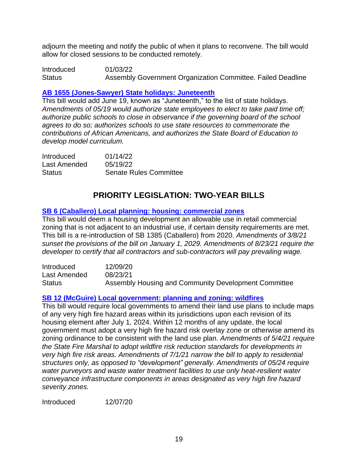adjourn the meeting and notify the public of when it plans to reconvene. The bill would allow for closed sessions to be conducted remotely.

Introduced 01/03/22 Status Assembly Government Organization Committee. Failed Deadline

# **AB 1655 [\(Jones-Sawyer\)](https://leginfo.legislature.ca.gov/faces/billNavClient.xhtml?bill_id=202120220AB1655) State holidays: Juneteenth**

This bill would add June 19, known as "Juneteenth," to the list of state holidays. *Amendments of 05/19 would authorize state employees to elect to take paid time off; authorize public schools to close in observance if the governing board of the school agrees to do so; authorizes schools to use state resources to commemorate the contributions of African Americans, and authorizes the State Board of Education to develop model curriculum.* 

| Introduced    | 01/14/22                      |
|---------------|-------------------------------|
| Last Amended  | 05/19/22                      |
| <b>Status</b> | <b>Senate Rules Committee</b> |

# **PRIORITY LEGISLATION: TWO-YEAR BILLS**

# **[SB 6 \(Caballero\) Local planning: housing: commercial zones](http://leginfo.legislature.ca.gov/faces/billTextClient.xhtml?bill_id=202120220SB6)**

This bill would deem a housing development an allowable use in retail commercial zoning that is not adjacent to an industrial use, if certain density requirements are met. This bill is a re-introduction of SB 1385 (Caballero) from 2020. *Amendments of 3/8/21 sunset the provisions of the bill on January 1, 2029. Amendments of 8/23/21 require the developer to certify that all contractors and sub-contractors will pay prevailing wage.*

| <b>Introduced</b> | 12/09/20                                             |
|-------------------|------------------------------------------------------|
| Last Amended      | 08/23/21                                             |
| <b>Status</b>     | Assembly Housing and Community Development Committee |

# **[SB 12 \(McGuire\) Local government: planning and zoning: wildfires](https://leginfo.legislature.ca.gov/faces/billNavClient.xhtml?bill_id=202120220SB12)**

This bill would require local governments to amend their land use plans to include maps of any very high fire hazard areas within its jurisdictions upon each revision of its housing element after July 1, 2024. Within 12 months of any update, the local government must adopt a very high fire hazard risk overlay zone or otherwise amend its zoning ordinance to be consistent with the land use plan. *Amendments of 5/4/21 require the State Fire Marshal to adopt wildfire risk reduction standards for developments in very high fire risk areas. Amendments of 7/1/21 narrow the bill to apply to residential structures only, as opposed to "development" generally. Amendments of 05/24 require water purveyors and waste water treatment facilities to use only heat-resilient water conveyance infrastructure components in areas designated as very high fire hazard severity zones.*

Introduced 12/07/20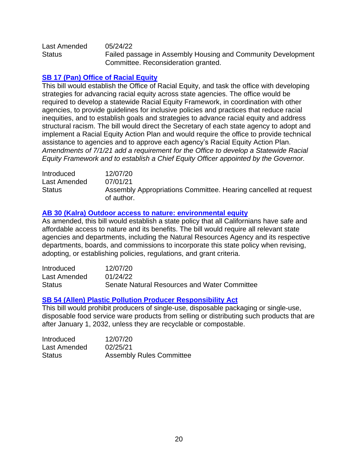Last Amended 05/24/22 Status Failed passage in Assembly Housing and Community Development Committee. Reconsideration granted.

# **[SB 17 \(Pan\) Office of Racial Equity](https://leginfo.legislature.ca.gov/faces/billTextClient.xhtml?bill_id=202120220SB17)**

This bill would establish the Office of Racial Equity, and task the office with developing strategies for advancing racial equity across state agencies. The office would be required to develop a statewide Racial Equity Framework, in coordination with other agencies, to provide guidelines for inclusive policies and practices that reduce racial inequities, and to establish goals and strategies to advance racial equity and address structural racism. The bill would direct the Secretary of each state agency to adopt and implement a Racial Equity Action Plan and would require the office to provide technical assistance to agencies and to approve each agency's Racial Equity Action Plan. *Amendments of 7/1/21 add a requirement for the Office to develop a Statewide Racial Equity Framework and to establish a Chief Equity Officer appointed by the Governor.*

Introduced 12/07/20 Last Amended 07/01/21 Status Assembly Appropriations Committee. Hearing cancelled at request of author.

# **[AB 30 \(Kalra\) Outdoor access to nature: environmental equity](https://leginfo.legislature.ca.gov/faces/billNavClient.xhtml?bill_id=202120220AB30)**

As amended, this bill would establish a state policy that all Californians have safe and affordable access to nature and its benefits. The bill would require all relevant state agencies and departments, including the Natural Resources Agency and its respective departments, boards, and commissions to incorporate this state policy when revising, adopting, or establishing policies, regulations, and grant criteria.

| <b>Introduced</b> | 12/07/20                                     |
|-------------------|----------------------------------------------|
| Last Amended      | 01/24/22                                     |
| <b>Status</b>     | Senate Natural Resources and Water Committee |

# **[SB 54 \(Allen\) Plastic Pollution Producer Responsibility Act](http://leginfo.legislature.ca.gov/faces/billTextClient.xhtml?bill_id=202120220SB54)**

This bill would prohibit producers of single-use, disposable packaging or single-use, disposable food service ware products from selling or distributing such products that are after January 1, 2032, unless they are recyclable or compostable.

| <b>Introduced</b> | 12/07/20                        |
|-------------------|---------------------------------|
| Last Amended      | 02/25/21                        |
| <b>Status</b>     | <b>Assembly Rules Committee</b> |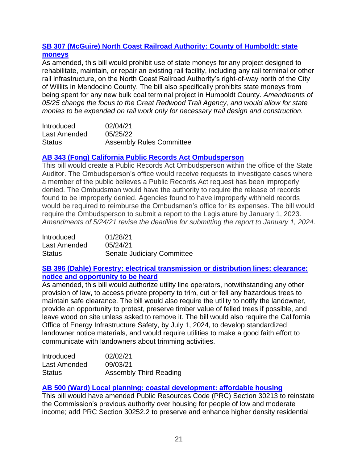# **[SB 307 \(McGuire\) North Coast Railroad Authority: County of Humboldt: state](https://leginfo.legislature.ca.gov/faces/billTextClient.xhtml?bill_id=202120220SB307)  [moneys](https://leginfo.legislature.ca.gov/faces/billTextClient.xhtml?bill_id=202120220SB307)**

As amended, this bill would prohibit use of state moneys for any project designed to rehabilitate, maintain, or repair an existing rail facility, including any rail terminal or other rail infrastructure, on the North Coast Railroad Authority's right-of-way north of the City of Willits in Mendocino County. The bill also specifically prohibits state moneys from being spent for any new bulk coal terminal project in Humboldt County. *Amendments of 05/25 change the focus to the Great Redwood Trail Agency, and would allow for state monies to be expended on rail work only for necessary trail design and construction.*

| Introduced    | 02/04/21                        |
|---------------|---------------------------------|
| Last Amended  | 05/25/22                        |
| <b>Status</b> | <b>Assembly Rules Committee</b> |

# **[AB 343 \(Fong\) California Public Records Act Ombudsperson](http://leginfo.legislature.ca.gov/faces/billNavClient.xhtml?bill_id=202120220AB343)**

This bill would create a Public Records Act Ombudsperson within the office of the State Auditor. The Ombudsperson's office would receive requests to investigate cases where a member of the public believes a Public Records Act request has been improperly denied. The Ombudsman would have the authority to require the release of records found to be improperly denied. Agencies found to have improperly withheld records would be required to reimburse the Ombudsman's office for its expenses. The bill would require the Ombudsperson to submit a report to the Legislature by January 1, 2023. *Amendments of 5/24/21 revise the deadline for submitting the report to January 1, 2024.*

| Introduced    | 01/28/21                          |
|---------------|-----------------------------------|
| Last Amended  | 05/24/21                          |
| <b>Status</b> | <b>Senate Judiciary Committee</b> |

# **[SB 396 \(Dahle\) Forestry: electrical transmission](https://leginfo.legislature.ca.gov/faces/billNavClient.xhtml?bill_id=202120220SB396) or distribution lines: clearance: [notice and opportunity to be heard](https://leginfo.legislature.ca.gov/faces/billNavClient.xhtml?bill_id=202120220SB396)**

As amended, this bill would authorize utility line operators, notwithstanding any other provision of law, to access private property to trim, cut or fell any hazardous trees to maintain safe clearance. The bill would also require the utility to notify the landowner, provide an opportunity to protest, preserve timber value of felled trees if possible, and leave wood on site unless asked to remove it. The bill would also require the California Office of Energy Infrastructure Safety, by July 1, 2024, to develop standardized landowner notice materials, and would require utilities to make a good faith effort to communicate with landowners about trimming activities.

| Introduced    | 02/02/21               |
|---------------|------------------------|
| Last Amended  | 09/03/21               |
| <b>Status</b> | Assembly Third Reading |

# **[AB 500 \(Ward\) Local planning: coastal development: affordable housing](https://leginfo.legislature.ca.gov/faces/billNavClient.xhtml?bill_id=202120220AB500)**

This bill would have amended Public Resources Code (PRC) Section 30213 to reinstate the Commission's previous authority over housing for people of low and moderate income; add PRC Section 30252.2 to preserve and enhance higher density residential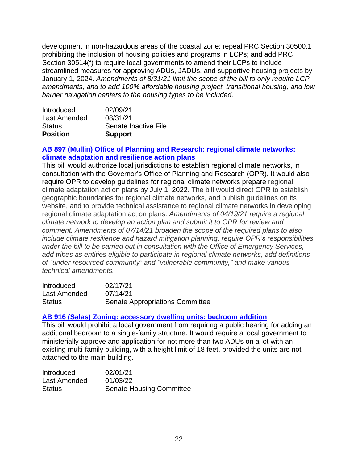development in non-hazardous areas of the coastal zone; repeal PRC Section 30500.1 prohibiting the inclusion of housing policies and programs in LCPs; and add PRC Section 30514(f) to require local governments to amend their LCPs to include streamlined measures for approving ADUs, JADUs, and supportive housing projects by January 1, 2024. *Amendments of 8/31/21 limit the scope of the bill to only require LCP amendments, and to add 100% affordable housing project, transitional housing, and low barrier navigation centers to the housing types to be included.*

| <b>Position</b> | <b>Support</b>       |
|-----------------|----------------------|
| <b>Status</b>   | Senate Inactive File |
| Last Amended    | 08/31/21             |
| Introduced      | 02/09/21             |

# **[AB 897 \(Mullin\) Office of Planning and Research: regional climate networks:](https://leginfo.legislature.ca.gov/faces/billNavClient.xhtml?bill_id=202120220AB897)  [climate adaptation and resilience action plans](https://leginfo.legislature.ca.gov/faces/billNavClient.xhtml?bill_id=202120220AB897)**

This bill would authorize local jurisdictions to establish regional climate networks, in consultation with the Governor's Office of Planning and Research (OPR). It would also require OPR to develop guidelines for regional climate networks prepare regional climate adaptation action plans by July 1, 2022. The bill would direct OPR to establish geographic boundaries for regional climate networks, and publish guidelines on its website, and to provide technical assistance to regional climate networks in developing regional climate adaptation action plans. *Amendments of 04/19/21 require a regional climate network to develop an action plan and submit it to OPR for review and comment. Amendments of 07/14/21 broaden the scope of the required plans to also include climate resilience and hazard mitigation planning, require OPR's responsibilities under the bill to be carried out in consultation with the Office of Emergency Services, add tribes as entities eligible to participate in regional climate networks, add definitions of "under-resourced community" and "vulnerable community," and make various technical amendments.*

| <b>Introduced</b> | 02/17/21                               |
|-------------------|----------------------------------------|
| Last Amended      | 07/14/21                               |
| <b>Status</b>     | <b>Senate Appropriations Committee</b> |

# **[AB 916 \(Salas\) Zoning: accessory dwelling units: bedroom addition](https://leginfo.legislature.ca.gov/faces/billNavClient.xhtml?bill_id=202120220AB916)**

This bill would prohibit a local government from requiring a public hearing for adding an additional bedroom to a single-family structure. It would require a local government to ministerially approve and application for not more than two ADUs on a lot with an existing multi-family building, with a height limit of 18 feet, provided the units are not attached to the main building.

| <b>Introduced</b> | 02/01/21                        |
|-------------------|---------------------------------|
| Last Amended      | 01/03/22                        |
| <b>Status</b>     | <b>Senate Housing Committee</b> |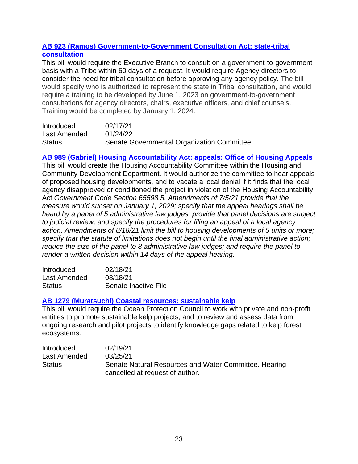# **[AB 923 \(Ramos\) Government-to-Government Consultation Act: state-tribal](https://leginfo.legislature.ca.gov/faces/billNavClient.xhtml?bill_id=202120220AB923)  [consultation](https://leginfo.legislature.ca.gov/faces/billNavClient.xhtml?bill_id=202120220AB923)**

This bill would require the Executive Branch to consult on a government-to-government basis with a Tribe within 60 days of a request. It would require Agency directors to consider the need for tribal consultation before approving any agency policy. The bill would specify who is authorized to represent the state in Tribal consultation, and would require a training to be developed by June 1, 2023 on government-to-government consultations for agency directors, chairs, executive officers, and chief counsels. Training would be completed by January 1, 2024.

| Introduced    | 02/17/21                                   |
|---------------|--------------------------------------------|
| Last Amended  | 01/24/22                                   |
| <b>Status</b> | Senate Governmental Organization Committee |

# **[AB 989 \(Gabriel\) Housing Accountability Act: appeals: Office of Housing Appeals](https://leginfo.legislature.ca.gov/faces/billNavClient.xhtml?bill_id=202120220AB989)**

This bill would create the Housing Accountability Committee within the Housing and Community Development Department. It would authorize the committee to hear appeals of proposed housing developments, and to vacate a local denial if it finds that the local agency disapproved or conditioned the project in violation of the Housing Accountability Act *Government Code Section 65598.5*. *Amendments of 7/5/21 provide that the measure would sunset on January 1, 2029; specify that the appeal hearings shall be heard by a panel of 5 administrative law judges; provide that panel decisions are subject to judicial review; and specify the procedures for filing an appeal of a local agency action. Amendments of 8/18/21 limit the bill to housing developments of 5 units or more; specify that the statute of limitations does not begin until the final administrative action; reduce the size of the panel to 3 administrative law judges; and require the panel to render a written decision within 14 days of the appeal hearing.*

| Introduced    | 02/18/21             |
|---------------|----------------------|
| Last Amended  | 08/18/21             |
| <b>Status</b> | Senate Inactive File |

# **[AB 1279 \(Muratsuchi\) Coastal resources: sustainable kelp](https://leginfo.legislature.ca.gov/faces/billNavClient.xhtml?bill_id=202120220AB1279)**

This bill would require the Ocean Protection Council to work with private and non-profit entities to promote sustainable kelp projects, and to review and assess data from ongoing research and pilot projects to identify knowledge gaps related to kelp forest ecosystems.

| <b>Introduced</b> | 02/19/21                                              |
|-------------------|-------------------------------------------------------|
| Last Amended      | 03/25/21                                              |
| <b>Status</b>     | Senate Natural Resources and Water Committee. Hearing |
|                   | cancelled at request of author.                       |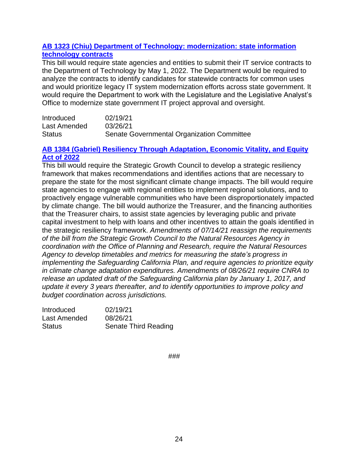# **[AB 1323 \(Chiu\) Department of Technology: modernization: state information](https://leginfo.legislature.ca.gov/faces/billNavClient.xhtml?bill_id=202120220AB1323)  [technology contracts](https://leginfo.legislature.ca.gov/faces/billNavClient.xhtml?bill_id=202120220AB1323)**

This bill would require state agencies and entities to submit their IT service contracts to the Department of Technology by May 1, 2022. The Department would be required to analyze the contracts to identify candidates for statewide contracts for common uses and would prioritize legacy IT system modernization efforts across state government. It would require the Department to work with the Legislature and the Legislative Analyst's Office to modernize state government IT project approval and oversight.

| Introduced    | 02/19/21                                   |
|---------------|--------------------------------------------|
| Last Amended  | 03/26/21                                   |
| <b>Status</b> | Senate Governmental Organization Committee |

### **[AB 1384 \(Gabriel\) Resiliency Through Adaptation, Economic Vitality, and Equity](https://leginfo.legislature.ca.gov/faces/billTextClient.xhtml?bill_id=202120220AB1384)  [Act of 2022](https://leginfo.legislature.ca.gov/faces/billTextClient.xhtml?bill_id=202120220AB1384)**

This bill would require the Strategic Growth Council to develop a strategic resiliency framework that makes recommendations and identifies actions that are necessary to prepare the state for the most significant climate change impacts. The bill would require state agencies to engage with regional entities to implement regional solutions, and to proactively engage vulnerable communities who have been disproportionately impacted by climate change. The bill would authorize the Treasurer, and the financing authorities that the Treasurer chairs, to assist state agencies by leveraging public and private capital investment to help with loans and other incentives to attain the goals identified in the strategic resiliency framework. *Amendments of 07/14/21 reassign the requirements of the bill from the Strategic Growth Council to the Natural Resources Agency in coordination with the Office of Planning and Research, require the Natural Resources Agency to develop timetables and metrics for measuring the state's progress in implementing the Safeguarding California Plan, and require agencies to prioritize equity in climate change adaptation expenditures. Amendments of 08/26/21 require CNRA to release an updated draft of the Safeguarding California plan by January 1, 2017, and update it every 3 years thereafter, and to identify opportunities to improve policy and budget coordination across jurisdictions.*

| <b>Introduced</b> | 02/19/21             |
|-------------------|----------------------|
| Last Amended      | 08/26/21             |
| Status            | Senate Third Reading |

###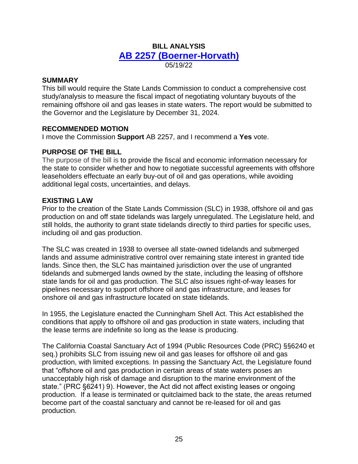# **BILL ANALYSIS [AB 2257 \(Boerner-Horvath\)](https://leginfo.legislature.ca.gov/faces/billNavClient.xhtml?bill_id=202120220AB2257)** 05/19/22

# **SUMMARY**

This bill would require the State Lands Commission to conduct a comprehensive cost study/analysis to measure the fiscal impact of negotiating voluntary buyouts of the remaining offshore oil and gas leases in state waters. The report would be submitted to the Governor and the Legislature by December 31, 2024.

#### **RECOMMENDED MOTION**

I move the Commission **Support** AB 2257, and I recommend a **Yes** vote.

# **PURPOSE OF THE BILL**

The purpose of the bill is to provide the fiscal and economic information necessary for the state to consider whether and how to negotiate successful agreements with offshore leaseholders effectuate an early buy-out of oil and gas operations, while avoiding additional legal costs, uncertainties, and delays.

#### **EXISTING LAW**

Prior to the creation of the State Lands Commission (SLC) in 1938, offshore oil and gas production on and off state tidelands was largely unregulated. The Legislature held, and still holds, the authority to grant state tidelands directly to third parties for specific uses, including oil and gas production.

The SLC was created in 1938 to oversee all state-owned tidelands and submerged lands and assume administrative control over remaining state interest in granted tide lands. Since then, the SLC has maintained jurisdiction over the use of ungranted tidelands and submerged lands owned by the state, including the leasing of offshore state lands for oil and gas production. The SLC also issues right-of-way leases for pipelines necessary to support offshore oil and gas infrastructure, and leases for onshore oil and gas infrastructure located on state tidelands.

In 1955, the Legislature enacted the Cunningham Shell Act. This Act established the conditions that apply to offshore oil and gas production in state waters, including that the lease terms are indefinite so long as the lease is producing.

The California Coastal Sanctuary Act of 1994 (Public Resources Code (PRC) §§6240 et seq.) prohibits SLC from issuing new oil and gas leases for offshore oil and gas production, with limited exceptions. In passing the Sanctuary Act, the Legislature found that "offshore oil and gas production in certain areas of state waters poses an unacceptably high risk of damage and disruption to the marine environment of the state." (PRC §6241) 9). However, the Act did not affect existing leases or ongoing production. If a lease is terminated or quitclaimed back to the state, the areas returned become part of the coastal sanctuary and cannot be re-leased for oil and gas production.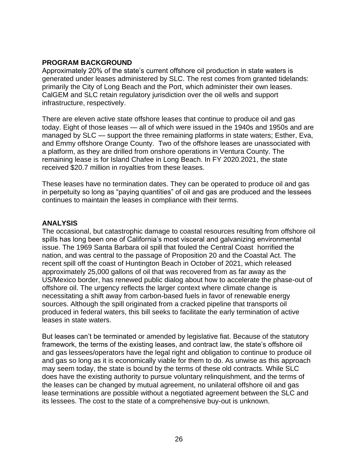# **PROGRAM BACKGROUND**

Approximately 20% of the state's current offshore oil production in state waters is generated under leases administered by SLC. The rest comes from granted tidelands: primarily the City of Long Beach and the Port, which administer their own leases. CalGEM and SLC retain regulatory jurisdiction over the oil wells and support infrastructure, respectively.

There are eleven active state offshore leases that continue to produce oil and gas today. Eight of those leases — all of which were issued in the 1940s and 1950s and are managed by SLC — support the three remaining platforms in state waters; Esther, Eva, and Emmy offshore Orange County. Two of the offshore leases are unassociated with a platform, as they are drilled from onshore operations in Ventura County. The remaining lease is for Island Chafee in Long Beach. In FY 2020.2021, the state received \$20.7 million in royalties from these leases.

These leases have no termination dates. They can be operated to produce oil and gas in perpetuity so long as "paying quantities" of oil and gas are produced and the lessees continues to maintain the leases in compliance with their terms.

# **ANALYSIS**

The occasional, but catastrophic damage to coastal resources resulting from offshore oil spills has long been one of California's most visceral and galvanizing environmental issue. The 1969 Santa Barbara oil spill that fouled the Central Coast horrified the nation, and was central to the passage of Proposition 20 and the Coastal Act. The recent spill off the coast of Huntington Beach in October of 2021, which released approximately 25,000 gallons of oil that was recovered from as far away as the US/Mexico border, has renewed public dialog about how to accelerate the phase-out of offshore oil. The urgency reflects the larger context where climate change is necessitating a shift away from carbon-based fuels in favor of renewable energy sources. Although the spill originated from a cracked pipeline that transports oil produced in federal waters, this bill seeks to facilitate the early termination of active leases in state waters.

But leases can't be terminated or amended by legislative fiat. Because of the statutory framework, the terms of the existing leases, and contract law, the state's offshore oil and gas lessees/operators have the legal right and obligation to continue to produce oil and gas so long as it is economically viable for them to do. As unwise as this approach may seem today, the state is bound by the terms of these old contracts. While SLC does have the existing authority to pursue voluntary relinquishment, and the terms of the leases can be changed by mutual agreement, no unilateral offshore oil and gas lease terminations are possible without a negotiated agreement between the SLC and its lessees. The cost to the state of a comprehensive buy-out is unknown.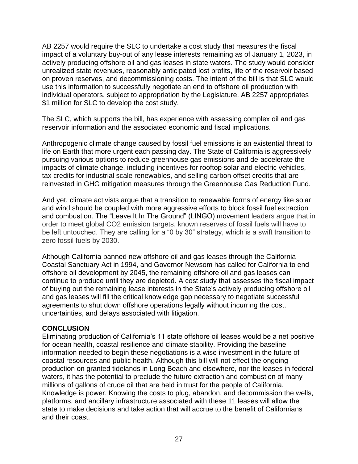AB 2257 would require the SLC to undertake a cost study that measures the fiscal impact of a voluntary buy-out of any lease interests remaining as of January 1, 2023, in actively producing offshore oil and gas leases in state waters. The study would consider unrealized state revenues, reasonably anticipated lost profits, life of the reservoir based on proven reserves, and decommissioning costs. The intent of the bill is that SLC would use this information to successfully negotiate an end to offshore oil production with individual operators, subject to appropriation by the Legislature. AB 2257 appropriates \$1 million for SLC to develop the cost study.

The SLC, which supports the bill, has experience with assessing complex oil and gas reservoir information and the associated economic and fiscal implications.

Anthropogenic climate change caused by fossil fuel emissions is an existential threat to life on Earth that more urgent each passing day. The State of California is aggressively pursuing various options to reduce greenhouse gas emissions and de-accelerate the impacts of climate change, including incentives for rooftop solar and electric vehicles, tax credits for industrial scale renewables, and selling carbon offset credits that are reinvested in GHG mitigation measures through the Greenhouse Gas Reduction Fund.

And yet, climate activists argue that a transition to renewable forms of energy like solar and wind should be coupled with more aggressive efforts to block fossil fuel extraction and combustion. The "Leave It In The Ground" (LINGO) movement leaders argue that in order to meet global CO2 emission targets, known reserves of fossil fuels will have to be left untouched. They are calling for a "0 by 30" strategy, which is a swift transition to zero fossil fuels by 2030.

Although California banned new offshore oil and gas leases through the California Coastal Sanctuary Act in 1994, and Governor Newsom has called for California to end offshore oil development by 2045, the remaining offshore oil and gas leases can continue to produce until they are depleted. A cost study that assesses the fiscal impact of buying out the remaining lease interests in the State's actively producing offshore oil and gas leases will fill the critical knowledge gap necessary to negotiate successful agreements to shut down offshore operations legally without incurring the cost, uncertainties, and delays associated with litigation.

# **CONCLUSION**

Eliminating production of California's 11 state offshore oil leases would be a net positive for ocean health, coastal resilience and climate stability. Providing the baseline information needed to begin these negotiations is a wise investment in the future of coastal resources and public health. Although this bill will not effect the ongoing production on granted tidelands in Long Beach and elsewhere, nor the leases in federal waters, it has the potential to preclude the future extraction and combustion of many millions of gallons of crude oil that are held in trust for the people of California. Knowledge is power. Knowing the costs to plug, abandon, and decommission the wells, platforms, and ancillary infrastructure associated with these 11 leases will allow the state to make decisions and take action that will accrue to the benefit of Californians and their coast.